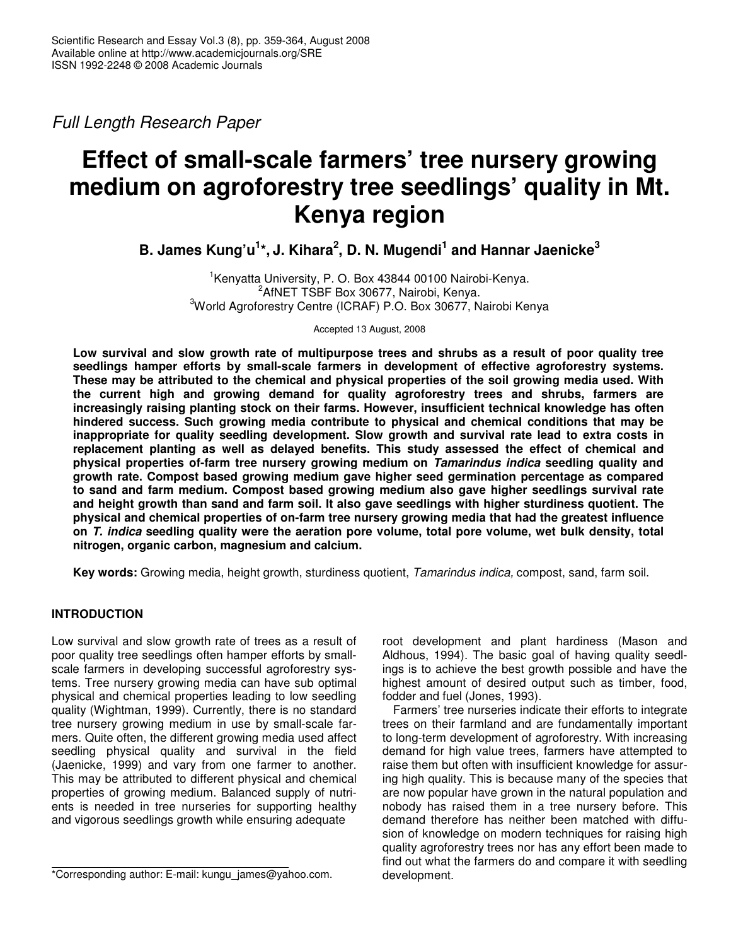*Full Length Research Paper*

# **Effect of small-scale farmers' tree nursery growing medium on agroforestry tree seedlings' quality in Mt. Kenya region**

**B. James Kung'u 1 \*, J. Kihara 2 , D. N. Mugendi 1 and Hannar Jaenicke 3**

1 Kenyatta University, P. O. Box 43844 00100 Nairobi-Kenya. <sup>2</sup>AfNET TSBF Box 30677, Nairobi, Kenya. <sup>3</sup>World Agroforestry Centre (ICRAF) P.O. Box 30677, Nairobi Kenya

Accepted 13 August, 2008

Low survival and slow growth rate of multipurpose trees and shrubs as a result of poor quality tree **seedlings hamper efforts by small-scale farmers in development of effective agroforestry systems. These may be attributed to the chemical and physical properties of the soil growing media used. With the current high and growing demand for quality agroforestry trees and shrubs, farmers are increasingly raising planting stock on their farms. However, insufficient technical knowledge has often hindered success. Such growing media contribute to physical and chemical conditions that may be inappropriate for quality seedling development. Slow growth and survival rate lead to extra costs in replacement planting as well as delayed benefits. This study assessed the effect of chemical and physical properties of-farm tree nursery growing medium on** *Tamarindus indica* **seedling quality and growth rate. Compost based growing medium gave higher seed germination percentage as compared to sand and farm medium. Compost based growing medium also gave higher seedlings survival rate and height growth than sand and farm soil. It also gave seedlings with higher sturdiness quotient. The physical and chemical properties of on-farm tree nursery growing media that had the greatest influence on** *T. indica* **seedling quality were the aeration pore volume, total pore volume, wet bulk density, total nitrogen, organic carbon, magnesium and calcium.**

**Key words:** Growing media, height growth, sturdiness quotient, *Tamarindus indica,* compost, sand, farm soil.

# **INTRODUCTION**

Low survival and slow growth rate of trees as a result of poor quality tree seedlings often hamper efforts by smallscale farmers in developing successful agroforestry systems. Tree nursery growing media can have sub optimal physical and chemical properties leading to low seedling quality (Wightman, 1999). Currently, there is no standard tree nursery growing medium in use by small-scale farmers. Quite often, the different growing media used affect seedling physical quality and survival in the field (Jaenicke, 1999) and vary from one farmer to another. This may be attributed to different physical and chemical properties of growing medium. Balanced supply of nutrients is needed in tree nurseries for supporting healthy and vigorous seedlings growth while ensuring adequate

root development and plant hardiness (Mason and Aldhous, 1994). The basic goal of having quality seedlings is to achieve the best growth possible and have the highest amount of desired output such as timber, food, fodder and fuel (Jones, 1993).

Farmers' tree nurseries indicate their efforts to integrate trees on their farmland and are fundamentally important to long-term development of agroforestry. With increasing demand for high value trees, farmers have attempted to raise them but often with insufficient knowledge for assuring high quality. This is because many of the species that are now popular have grown in the natural population and nobody has raised them in a tree nursery before. This demand therefore has neither been matched with diffusion of knowledge on modern techniques for raising high quality agroforestry trees nor has any effort been made to find out what the farmers do and compare it with seedling development.

<sup>\*</sup>Corresponding author: E-mail: kungu\_james@yahoo.com.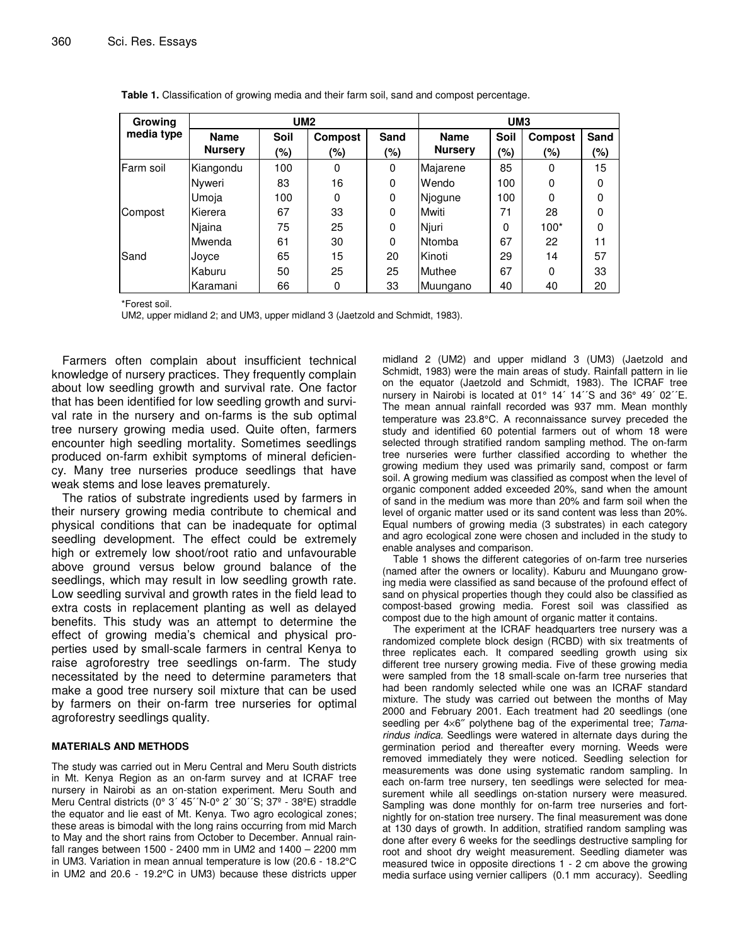| <b>Growing</b> | UM2                           |                       |                       |             | UM <sub>3</sub>               |             |                       |             |
|----------------|-------------------------------|-----------------------|-----------------------|-------------|-------------------------------|-------------|-----------------------|-------------|
| media type     | <b>Name</b><br><b>Nursery</b> | <b>Soil</b><br>$(\%)$ | <b>Compost</b><br>(%) | Sand<br>(%) | <b>Name</b><br><b>Nursery</b> | Soil<br>(%) | <b>Compost</b><br>(%) | Sand<br>(%) |
| lFarm soil     | Kiangondu                     | 100                   | 0                     | 0           | Majarene                      | 85          | 0                     | 15          |
|                | Nyweri                        | 83                    | 16                    | 0           | Wendo                         | 100         | 0                     | 0           |
|                | Umoja                         | 100                   | 0                     | $\Omega$    | Njogune                       | 100         | 0                     | 0           |
| Compost        | Kierera                       | 67                    | 33                    | 0           | Mwiti                         | 71          | 28                    | 0           |
|                | Njaina                        | 75                    | 25                    | 0           | Njuri                         | 0           | $100*$                | 0           |
|                | Mwenda                        | 61                    | 30                    | 0           | <b>Ntomba</b>                 | 67          | 22                    | 11          |
| Sand           | Joyce                         | 65                    | 15                    | 20          | Kinoti                        | 29          | 14                    | 57          |
|                | Kaburu                        | 50                    | 25                    | 25          | Muthee                        | 67          | $\Omega$              | 33          |
|                | Karamani                      | 66                    | 0                     | 33          | Muungano                      | 40          | 40                    | 20          |

|  | Table 1. Classification of growing media and their farm soil, sand and compost percentage. |  |  |  |  |  |  |
|--|--------------------------------------------------------------------------------------------|--|--|--|--|--|--|
|--|--------------------------------------------------------------------------------------------|--|--|--|--|--|--|

\*Forest soil.

UM2, upper midland 2; and UM3, upper midland 3 (Jaetzold and Schmidt, 1983).

Farmers often complain about insufficient technical knowledge of nursery practices. They frequently complain about low seedling growth and survival rate. One factor that has been identified for low seedling growth and survival rate in the nursery and on-farms is the sub optimal tree nursery growing media used. Quite often, farmers encounter high seedling mortality. Sometimes seedlings produced on-farm exhibit symptoms of mineral deficiency. Many tree nurseries produce seedlings that have weak stems and lose leaves prematurely.

The ratios of substrate ingredients used by farmers in their nursery growing media contribute to chemical and physical conditions that can be inadequate for optimal seedling development. The effect could be extremely high or extremely low shoot/root ratio and unfavourable above ground versus below ground balance of the seedlings, which may result in low seedling growth rate. Low seedling survival and growth rates in the field lead to extra costs in replacement planting as well as delayed benefits. This study was an attempt to determine the effect of growing media's chemical and physical properties used by small-scale farmers in central Kenya to raise agroforestry tree seedlings on-farm. The study necessitated by the need to determine parameters that make a good tree nursery soil mixture that can be used by farmers on their on-farm tree nurseries for optimal agroforestry seedlings quality.

#### **MATERIALS AND METHODS**

The study was carried out in Meru Central and Meru South districts in Mt. Kenya Region as an on-farm survey and at ICRAF tree nursery in Nairobi as an on-station experiment. Meru South and Meru Central districts (0° 3´ 45´´N-0° 2´ 30´´S; 37º - 38ºE) straddle the equator and lie east of Mt. Kenya. Two agro ecological zones; these areas is bimodal with the long rains occurring from mid March to May and the short rains from October to December. Annual rainfall ranges between 1500 - 2400 mm in UM2 and 1400 – 2200 mm in UM3. Variation in mean annual temperature is low (20.6 - 18.2°C in UM2 and 20.6 - 19.2°C in UM3) because these districts upper

midland 2 (UM2) and upper midland 3 (UM3) (Jaetzold and Schmidt, 1983) were the main areas of study. Rainfall pattern in lie on the equator (Jaetzold and Schmidt, 1983). The ICRAF tree nursery in Nairobi is located at 01° 14' 14''S and 36° 49' 02"E. The mean annual rainfall recorded was 937 mm. Mean monthly temperature was 23.8°C. A reconnaissance survey preceded the study and identified 60 potential farmers out of whom 18 were selected through stratified random sampling method. The on-farm tree nurseries were further classified according to whether the growing medium they used was primarily sand, compost or farm soil. A growing medium was classified as compost when the level of organic component added exceeded 20%, sand when the amount of sand in the medium was more than 20% and farm soil when the level of organic matter used or its sand content was less than 20%. Equal numbers of growing media (3 substrates) in each category and agro ecological zone were chosen and included in the study to enable analyses and comparison.

Table 1 shows the different categories of on-farm tree nurseries (named after the owners or locality). Kaburu and Muungano growing media were classified as sand because of the profound effect of sand on physical properties though they could also be classified as compost-based growing media. Forest soil was classified as compost due to the high amount of organic matter it contains.

The experiment at the ICRAF headquarters tree nursery was a randomized complete block design (RCBD) with six treatments of three replicates each. It compared seedling growth using six different tree nursery growing media. Five of these growing media were sampled from the 18 small-scale on-farm tree nurseries that had been randomly selected while one was an ICRAF standard mixture. The study was carried out between the months of May 2000 and February 2001. Each treatment had 20 seedlings (one seedling per 4×6″ polythene bag of the experimental tree; *Tamarindus indica.* Seedlings were watered in alternate days during the germination period and thereafter every morning. Weeds were removed immediately they were noticed. Seedling selection for measurements was done using systematic random sampling. In each on-farm tree nursery, ten seedlings were selected for measurement while all seedlings on-station nursery were measured. Sampling was done monthly for on-farm tree nurseries and fortnightly for on-station tree nursery. The final measurement was done at 130 days of growth. In addition, stratified random sampling was done after every 6 weeks for the seedlings destructive sampling for root and shoot dry weight measurement. Seedling diameter was measured twice in opposite directions 1 - 2 cm above the growing media surface using vernier callipers (0.1 mm accuracy). Seedling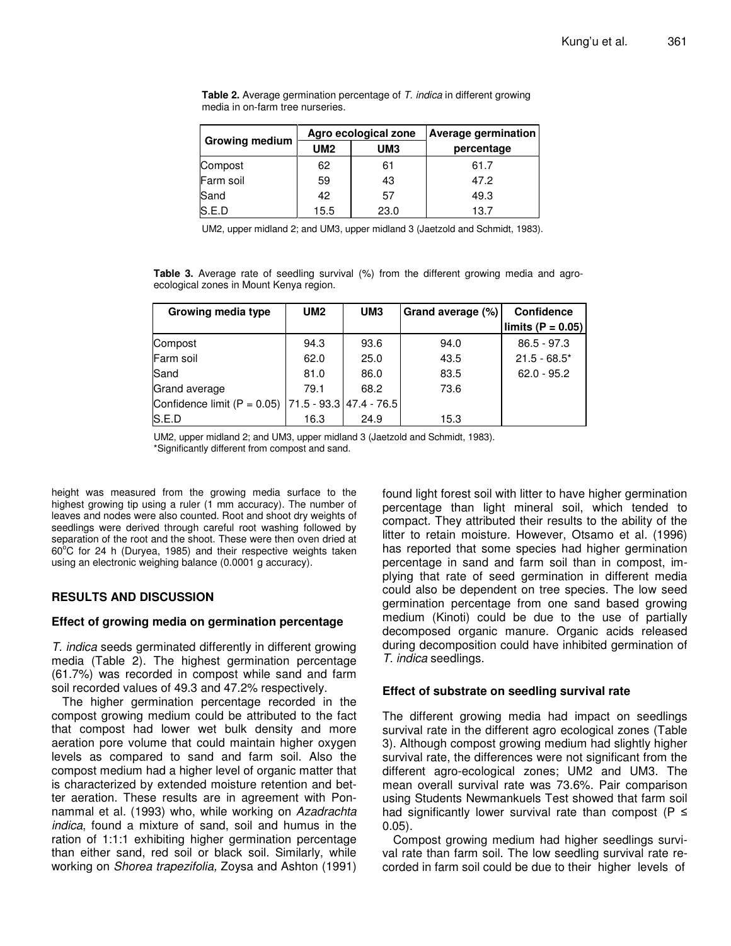|                       |            | Agro ecological zone | Average germination |  |  |
|-----------------------|------------|----------------------|---------------------|--|--|
| <b>Growing medium</b> | <b>UM2</b> | UM <sub>3</sub>      | percentage          |  |  |
| Compost               | 62         | 61                   | 61.7                |  |  |
| Farm soil             | 59         | 43                   | 47.2                |  |  |
| Sand                  | 42         | 57                   | 49.3                |  |  |
| S.E.D                 | 15.5       | 23.0                 | 13.7                |  |  |

**Table 2.** Average germination percentage of *T. indica* in different growing media in on-farm tree nurseries.

UM2, upper midland 2; and UM3, upper midland 3 (Jaetzold and Schmidt, 1983).

**Table 3.** Average rate of seedling survival (%) from the different growing media and agroecological zones in Mount Kenya region.

| Growing media type                                      | UM2  | UM <sub>3</sub> | Grand average (%) | Confidence           |
|---------------------------------------------------------|------|-----------------|-------------------|----------------------|
|                                                         |      |                 |                   | limits (P = $0.05$ ) |
| Compost                                                 | 94.3 | 93.6            | 94.0              | $86.5 - 97.3$        |
| Farm soil                                               | 62.0 | 25.0            | 43.5              | $21.5 - 68.5*$       |
| Sand                                                    | 81.0 | 86.0            | 83.5              | $62.0 - 95.2$        |
| Grand average                                           | 79.1 | 68.2            | 73.6              |                      |
| Confidence limit (P = 0.05)   71.5 - 93.3   47.4 - 76.5 |      |                 |                   |                      |
| S.E.D                                                   | 16.3 | 24.9            | 15.3              |                      |

UM2, upper midland 2; and UM3, upper midland 3 (Jaetzold and Schmidt, 1983). \*Significantly different from compost and sand.

height was measured from the growing media surface to the highest growing tip using a ruler (1 mm accuracy). The number of leaves and nodes were also counted. Root and shoot dry weights of seedlings were derived through careful root washing followed by separation of the root and the shoot. These were then oven dried at 60°C for 24 h (Duryea, 1985) and their respective weights taken using an electronic weighing balance (0.0001 g accuracy).

## **RESULTS AND DISCUSSION**

## **Effect of growing media on germination percentage**

*T. indica* seeds germinated differently in different growing media (Table 2). The highest germination percentage (61.7%) was recorded in compost while sand and farm soil recorded values of 49.3 and 47.2% respectively.

The higher germination percentage recorded in the compost growing medium could be attributed to the fact that compost had lower wet bulk density and more aeration pore volume that could maintain higher oxygen levels as compared to sand and farm soil. Also the compost medium had a higher level of organic matter that is characterized by extended moisture retention and better aeration. These results are in agreement with Ponnammal et al*.* (1993) who, while working on *Azadrachta indica*, found a mixture of sand, soil and humus in the ration of 1:1:1 exhibiting higher germination percentage than either sand, red soil or black soil. Similarly, while working on *Shorea trapezifolia,* Zoysa and Ashton (1991)

found light forest soil with litter to have higher germination percentage than light mineral soil, which tended to compact. They attributed their results to the ability of the litter to retain moisture. However, Otsamo et al*.* (1996) has reported that some species had higher germination percentage in sand and farm soil than in compost, implying that rate of seed germination in different media could also be dependent on tree species. The low seed germination percentage from one sand based growing medium (Kinoti) could be due to the use of partially decomposed organic manure. Organic acids released during decomposition could have inhibited germination of *T. indica* seedlings.

## **Effect of substrate on seedling survival rate**

The different growing media had impact on seedlings survival rate in the different agro ecological zones (Table 3). Although compost growing medium had slightly higher survival rate, the differences were not significant from the different agro-ecological zones; UM2 and UM3. The mean overall survival rate was 73.6%. Pair comparison using Students Newmankuels Test showed that farm soil had significantly lower survival rate than compost ( $P \leq$ 0.05).

Compost growing medium had higher seedlings survival rate than farm soil. The low seedling survival rate recorded in farm soil could be due to their higher levels of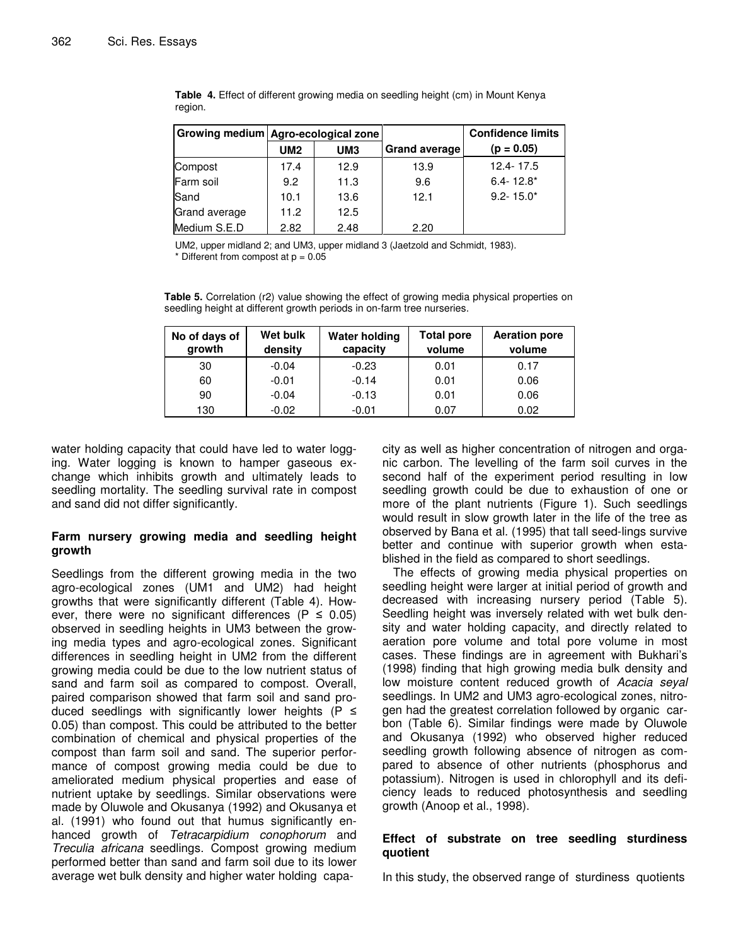|               | Growing medium Agro-ecological zone |                 |                      | <b>Confidence limits</b> |
|---------------|-------------------------------------|-----------------|----------------------|--------------------------|
|               | <b>UM2</b>                          | UM <sub>3</sub> | <b>Grand average</b> | $(p = 0.05)$             |
| Compost       | 17.4                                | 12.9            | 13.9                 | $12.4 - 17.5$            |
| Farm soil     | 9.2                                 | 11.3            | 9.6                  | $6.4 - 12.8*$            |
| Sand          | 10.1                                | 13.6            | 12.1                 | $9.2 - 15.0*$            |
| Grand average | 11.2                                | 12.5            |                      |                          |
| Medium S.E.D  | 2.82                                | 2.48            | 2.20                 |                          |

**Table 4.** Effect of different growing media on seedling height (cm) in Mount Kenya region.

UM2, upper midland 2; and UM3, upper midland 3 (Jaetzold and Schmidt, 1983).  $*$  Different from compost at  $p = 0.05$ 

**Table 5.** Correlation (r2) value showing the effect of growing media physical properties on seedling height at different growth periods in on-farm tree nurseries.

| No of days of<br>growth | Wet bulk<br>density | <b>Water holding</b><br>capacity | <b>Total pore</b><br>volume | <b>Aeration pore</b><br>volume |
|-------------------------|---------------------|----------------------------------|-----------------------------|--------------------------------|
| 30                      | $-0.04$             | $-0.23$                          | 0.01                        | 0.17                           |
| 60                      | $-0.01$             | $-0.14$                          | 0.01                        | 0.06                           |
| 90                      | $-0.04$             | $-0.13$                          | 0.01                        | 0.06                           |
| 130                     | $-0.02$             | $-0.01$                          | 0.07                        | 0.02                           |

water holding capacity that could have led to water logging. Water logging is known to hamper gaseous exchange which inhibits growth and ultimately leads to seedling mortality. The seedling survival rate in compost and sand did not differ significantly.

## **Farm nursery growing media and seedling height growth**

Seedlings from the different growing media in the two agro-ecological zones (UM1 and UM2) had height growths that were significantly different (Table 4). However, there were no significant differences ( $P \leq 0.05$ ) observed in seedling heights in UM3 between the growing media types and agro-ecological zones. Significant differences in seedling height in UM2 from the different growing media could be due to the low nutrient status of sand and farm soil as compared to compost. Overall, paired comparison showed that farm soil and sand produced seedlings with significantly lower heights ( $P \leq$ 0.05) than compost. This could be attributed to the better combination of chemical and physical properties of the compost than farm soil and sand. The superior performance of compost growing media could be due to ameliorated medium physical properties and ease of nutrient uptake by seedlings. Similar observations were made by Oluwole and Okusanya (1992) and Okusanya et al*.* (1991) who found out that humus significantly enhanced growth of *Tetracarpidium conophorum* and *Treculia africana* seedlings. Compost growing medium performed better than sand and farm soil due to its lower average wet bulk density and higher water holding capacity as well as higher concentration of nitrogen and organic carbon. The levelling of the farm soil curves in the second half of the experiment period resulting in low seedling growth could be due to exhaustion of one or more of the plant nutrients (Figure 1). Such seedlings would result in slow growth later in the life of the tree as observed by Bana et al. (1995) that tall seed-lings survive better and continue with superior growth when established in the field as compared to short seedlings.

The effects of growing media physical properties on seedling height were larger at initial period of growth and decreased with increasing nursery period (Table 5). Seedling height was inversely related with wet bulk density and water holding capacity, and directly related to aeration pore volume and total pore volume in most cases. These findings are in agreement with Bukhari's (1998) finding that high growing media bulk density and low moisture content reduced growth of *Acacia seyal* seedlings. In UM2 and UM3 agro-ecological zones, nitrogen had the greatest correlation followed by organic carbon (Table 6). Similar findings were made by Oluwole and Okusanya (1992) who observed higher reduced seedling growth following absence of nitrogen as compared to absence of other nutrients (phosphorus and potassium). Nitrogen is used in chlorophyll and its deficiency leads to reduced photosynthesis and seedling growth (Anoop et al., 1998).

## **Effect of substrate on tree seedling sturdiness quotient**

In this study, the observed range of sturdiness quotients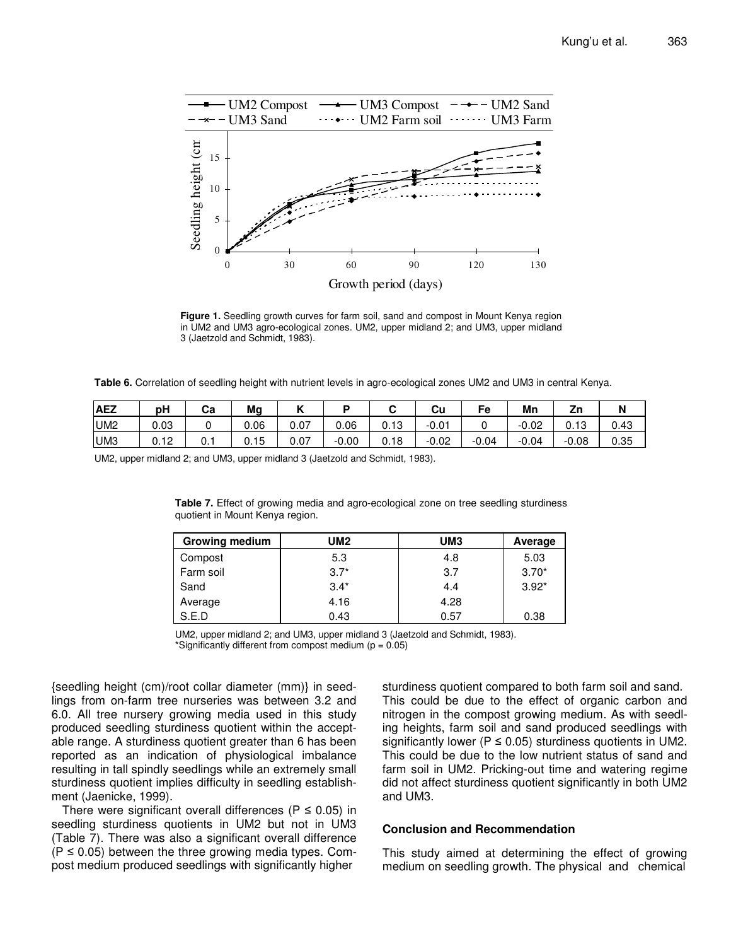

**Figure 1.** Seedling growth curves for farm soil, sand and compost in Mount Kenya region in UM2 and UM3 agro-ecological zones. UM2, upper midland 2; and UM3, upper midland 3 (Jaetzold and Schmidt, 1983).

**Table 6.** Correlation of seedling height with nutrient levels in agro-ecological zones UM2 and UM3 in central Kenya.

| <b>AEZ</b>      | рH   | Cа   | Mg   | . .  | −       |                 | Cu      | -0      | Mn      | <b>7.</b><br>ZΠ |      |
|-----------------|------|------|------|------|---------|-----------------|---------|---------|---------|-----------------|------|
| UM <sub>2</sub> | 0.03 |      | 0.06 | 0.07 | 0.06    | 10<br>⌒<br>U.IJ | $-0.01$ |         | $-0.02$ | 0.13            | 0.43 |
| UM <sub>3</sub> | 0.12 | v. i | 0.15 | 0.07 | $-0.00$ | 0.18            | $-0.02$ | $-0.04$ | $-0.04$ | $-0.08$         | 0.35 |

UM2, upper midland 2; and UM3, upper midland 3 (Jaetzold and Schmidt, 1983).

**Table 7.** Effect of growing media and agro-ecological zone on tree seedling sturdiness quotient in Mount Kenya region.

| <b>Growing medium</b> | UM <sub>2</sub> | UM <sub>3</sub> | Average |
|-----------------------|-----------------|-----------------|---------|
| Compost               | 5.3             | 4.8             | 5.03    |
| Farm soil             | $3.7*$          | 3.7             | $3.70*$ |
| Sand                  | $3.4*$          | 4.4             | $3.92*$ |
| Average               | 4.16            | 4.28            |         |
| S.E.D                 | 0.43            | 0.57            | 0.38    |

UM2, upper midland 2; and UM3, upper midland 3 (Jaetzold and Schmidt, 1983). \*Significantly different from compost medium ( $p = 0.05$ )

{seedling height (cm)/root collar diameter (mm)} in seedlings from on-farm tree nurseries was between 3.2 and 6.0. All tree nursery growing media used in this study produced seedling sturdiness quotient within the acceptable range. A sturdiness quotient greater than 6 has been reported as an indication of physiological imbalance resulting in tall spindly seedlings while an extremely small sturdiness quotient implies difficulty in seedling establishment (Jaenicke, 1999).

There were significant overall differences ( $P \le 0.05$ ) in seedling sturdiness quotients in UM2 but not in UM3 (Table 7). There was also a significant overall difference  $(P \le 0.05)$  between the three growing media types. Compost medium produced seedlings with significantly higher

sturdiness quotient compared to both farm soil and sand. This could be due to the effect of organic carbon and nitrogen in the compost growing medium. As with seedling heights, farm soil and sand produced seedlings with significantly lower ( $P \le 0.05$ ) sturdiness quotients in UM2. This could be due to the low nutrient status of sand and farm soil in UM2. Pricking-out time and watering regime did not affect sturdiness quotient significantly in both UM2 and UM3.

#### **Conclusion and Recommendation**

This study aimed at determining the effect of growing medium on seedling growth. The physical and chemical